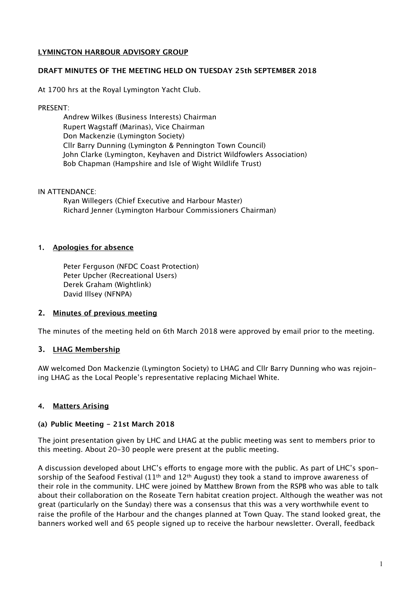# **LYMINGTON HARBOUR ADVISORY GROUP**

#### **DRAFT MINUTES OF THE MEETING HELD ON TUESDAY 25th SEPTEMBER 2018**

At 1700 hrs at the Royal Lymington Yacht Club.

#### PRESENT:

Andrew Wilkes (Business Interests) Chairman Rupert Wagstaff (Marinas). Vice Chairman Don Mackenzie (Lymington Society) Cllr Barry Dunning (Lymington & Pennington Town Council) John Clarke (Lymington, Keyhaven and District Wildfowlers Association) Bob Chapman (Hampshire and Isle of Wight Wildlife Trust)

#### IN ATTENDANCE:

Ryan Willegers (Chief Executive and Harbour Master) Richard Jenner (Lymington Harbour Commissioners Chairman)

# **1. Apologies for absence**

Peter Ferguson (NFDC Coast Protection) Peter Upcher (Recreational Users) Derek Graham (Wightlink) David Illsey (NFNPA)

# **2. Minutes of previous meeting**

The minutes of the meeting held on 6th March 2018 were approved by email prior to the meeting.

# **3. LHAG Membership**

AW welcomed Don Mackenzie (Lymington Society) to LHAG and Cllr Barry Dunning who was rejoining LHAG as the Local People's representative replacing Michael White.

# **4. Matters Arising**

# **(a) Public Meeting - 21st March 2018**

The joint presentation given by LHC and LHAG at the public meeting was sent to members prior to this meeting. About 20-30 people were present at the public meeting.

A discussion developed about LHC's efforts to engage more with the public. As part of LHC's sponsorship of the Seafood Festival  $(11^{th}$  and  $12^{th}$  August) they took a stand to improve awareness of their role in the community. LHC were joined by Matthew Brown from the RSPB who was able to talk about their collaboration on the Roseate Tern habitat creation project. Although the weather was not great (particularly on the Sunday) there was a consensus that this was a very worthwhile event to raise the profile of the Harbour and the changes planned at Town Quay. The stand looked great, the banners worked well and 65 people signed up to receive the harbour newsletter. Overall, feedback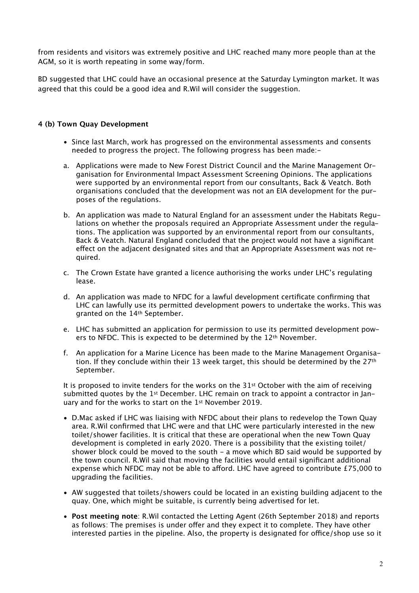from residents and visitors was extremely positive and LHC reached many more people than at the AGM, so it is worth repeating in some way/form.

BD suggested that LHC could have an occasional presence at the Saturday Lymington market. It was agreed that this could be a good idea and R.Wil will consider the suggestion.

### **4 (b) Town Quay Development**

- Since last March, work has progressed on the environmental assessments and consents needed to progress the project. The following progress has been made:-
- a. Applications were made to New Forest District Council and the Marine Management Organisation for Environmental Impact Assessment Screening Opinions. The applications were supported by an environmental report from our consultants, Back & Veatch. Both organisations concluded that the development was not an EIA development for the purposes of the regulations.
- b. An application was made to Natural England for an assessment under the Habitats Regulations on whether the proposals required an Appropriate Assessment under the regulations. The application was supported by an environmental report from our consultants, Back & Veatch. Natural England concluded that the project would not have a significant efect on the adjacent designated sites and that an Appropriate Assessment was not required.
- c. The Crown Estate have granted a licence authorising the works under LHC's regulating lease.
- d. An application was made to NFDC for a lawful development certificate confirming that LHC can lawfully use its permitted development powers to undertake the works. This was granted on the 14th September.
- e. LHC has submitted an application for permission to use its permitted development powers to NFDC. This is expected to be determined by the 12<sup>th</sup> November.
- f. An application for a Marine Licence has been made to the Marine Management Organisation. If they conclude within their 13 week target, this should be determined by the 27<sup>th</sup> September.

It is proposed to invite tenders for the works on the 31st October with the aim of receiving submitted quotes by the  $1<sup>st</sup>$  December. LHC remain on track to appoint a contractor in January and for the works to start on the 1st November 2019.

- D.Mac asked if LHC was liaising with NFDC about their plans to redevelop the Town Quay area. R.Wil confirmed that LHC were and that LHC were particularly interested in the new toilet/shower facilities. It is critical that these are operational when the new Town Quay development is completed in early 2020. There is a possibility that the existing toilet/ shower block could be moved to the south - a move which BD said would be supported by the town council. R.Wil said that moving the facilities would entail significant additional expense which NFDC may not be able to afford. LHC have agreed to contribute £75,000 to upgrading the facilities.
- AW suggested that toilets/showers could be located in an existing building adjacent to the quay. One, which might be suitable, is currently being advertised for let.
- **Post meeting note**: R.Wil contacted the Letting Agent (26th September 2018) and reports as follows: The premises is under offer and they expect it to complete. They have other interested parties in the pipeline. Also, the property is designated for office/shop use so it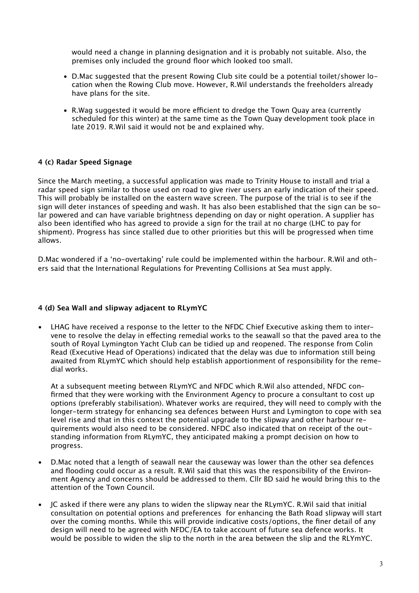would need a change in planning designation and it is probably not suitable. Also, the premises only included the ground floor which looked too small.

- D.Mac suggested that the present Rowing Club site could be a potential toilet/shower location when the Rowing Club move. However, R.Wil understands the freeholders already have plans for the site.
- R.Wag suggested it would be more efficient to dredge the Town Ouay area (currently scheduled for this winter) at the same time as the Town Quay development took place in late 2019. R.Wil said it would not be and explained why.

#### **4 (c) Radar Speed Signage**

Since the March meeting, a successful application was made to Trinity House to install and trial a radar speed sign similar to those used on road to give river users an early indication of their speed. This will probably be installed on the eastern wave screen. The purpose of the trial is to see if the sign will deter instances of speeding and wash. It has also been established that the sign can be solar powered and can have variable brightness depending on day or night operation. A supplier has also been identified who has agreed to provide a sign for the trail at no charge (LHC to pay for shipment). Progress has since stalled due to other priorities but this will be progressed when time allows.

D.Mac wondered if a 'no-overtaking' rule could be implemented within the harbour. R.Wil and others said that the International Regulations for Preventing Collisions at Sea must apply.

#### **4 (d) Sea Wall and slipway adjacent to RLymYC**

• LHAG have received a response to the letter to the NFDC Chief Executive asking them to intervene to resolve the delay in efecting remedial works to the seawall so that the paved area to the south of Royal Lymington Yacht Club can be tidied up and reopened. The response from Colin Read (Executive Head of Operations) indicated that the delay was due to information still being awaited from RLymYC which should help establish apportionment of responsibility for the remedial works.

At a subsequent meeting between RLymYC and NFDC which R.Wil also attended, NFDC confirmed that they were working with the Environment Agency to procure a consultant to cost up options (preferably stabilisation). Whatever works are required, they will need to comply with the longer-term strategy for enhancing sea defences between Hurst and Lymington to cope with sea level rise and that in this context the potential upgrade to the slipway and other harbour requirements would also need to be considered. NFDC also indicated that on receipt of the outstanding information from RLymYC, they anticipated making a prompt decision on how to progress.

- D.Mac noted that a length of seawall near the causeway was lower than the other sea defences and flooding could occur as a result. R.Wil said that this was the responsibility of the Environment Agency and concerns should be addressed to them. Cllr BD said he would bring this to the attention of the Town Council.
- JC asked if there were any plans to widen the slipway near the RLymYC. R.Wil said that initial consultation on potential options and preferences for enhancing the Bath Road slipway will start over the coming months. While this will provide indicative costs/options, the finer detail of any design will need to be agreed with NFDC/EA to take account of future sea defence works. It would be possible to widen the slip to the north in the area between the slip and the RLYmYC.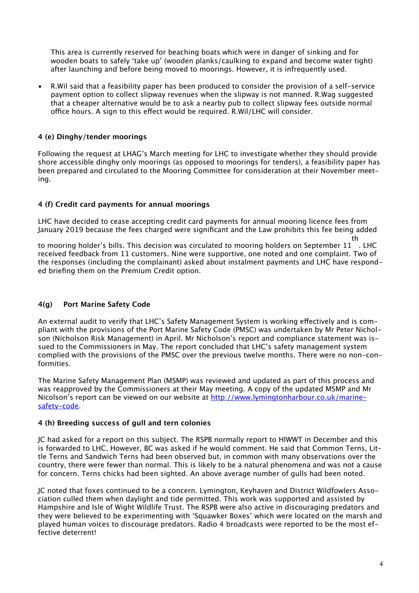This area is currently reserved for beaching boats which were in danger of sinking and for wooden boats to safely 'take up' (wooden planks/caulking to expand and become water tight) after launching and before being moved to moorings. However, it is infrequently used.

• R.Wil said that a feasibility paper has been produced to consider the provision of a self-service payment option to collect slipway revenues when the slipway is not manned. R.Wag suggested that a cheaper alternative would be to ask a nearby pub to collect slipway fees outside normal office hours. A sign to this effect would be required. R.Wil/LHC will consider.

### **4 (e) Dinghy/tender moorings**

Following the request at LHAG's March meeting for LHC to investigate whether they should provide shore accessible dinghy only moorings (as opposed to moorings for tenders), a feasibility paper has been prepared and circulated to the Mooring Committee for consideration at their November meeting.

#### **4 (f) Credit card payments for annual moorings**

LHC have decided to cease accepting credit card payments for annual mooring licence fees from January 2019 because the fees charged were significant and the Law prohibits this fee being added

to mooring holder's bills. This decision was circulated to mooring holders on September 11 . LHC th received feedback from 11 customers. Nine were supportive, one noted and one complaint. Two of the responses (including the complainant) asked about instalment payments and LHC have responded briefing them on the Premium Credit option.

# **4(g) Port Marine Safety Code**

An external audit to verify that LHC's Safety Management System is working efectively and is compliant with the provisions of the Port Marine Safety Code (PMSC) was undertaken by Mr Peter Nicholson (Nicholson Risk Management) in April. Mr Nicholson's report and compliance statement was issued to the Commissioners in May. The report concluded that LHC's safety management system complied with the provisions of the PMSC over the previous twelve months. There were no non-conformities.

The Marine Safety Management Plan (MSMP) was reviewed and updated as part of this process and was reapproved by the Commissioners at their May meeting. A copy of the updated MSMP and Mr Nicolson's report can be viewed on our website at [http://www.lymingtonharbour.co.uk/marine](http://www.lymingtonharbour.co.uk/marine-safety-code)[safety-code.](http://www.lymingtonharbour.co.uk/marine-safety-code)

#### **4 (h) Breeding success of gull and tern colonies**

JC had asked for a report on this subject. The RSPB normally report to HIWWT in December and this is forwarded to LHC. However, BC was asked if he would comment. He said that Common Terns, Little Terns and Sandwich Terns had been observed but, in common with many observations over the country, there were fewer than normal. This is likely to be a natural phenomena and was not a cause for concern. Terns chicks had been sighted. An above average number of gulls had been noted.

JC noted that foxes continued to be a concern. Lymington, Keyhaven and District Wildfowlers Association culled them when daylight and tide permitted. This work was supported and assisted by Hampshire and Isle of Wight Wildlife Trust. The RSPB were also active in discouraging predators and they were believed to be experimenting with 'Squawker Boxes' which were located on the marsh and played human voices to discourage predators. Radio 4 broadcasts were reported to be the most effective deterrent!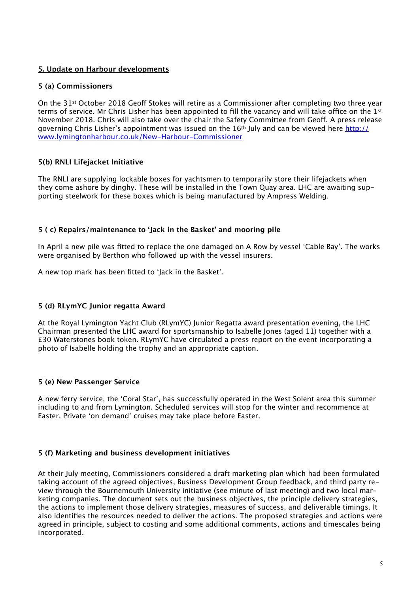# **5. Update on Harbour developments**

### **5 (a) Commissioners**

On the 31<sup>st</sup> October 2018 Geoff Stokes will retire as a Commissioner after completing two three year terms of service. Mr Chris Lisher has been appointed to fill the vacancy and will take office on the 1st November 2018. Chris will also take over the chair the Safety Committee from Geof. A press release governing Chris Lisher's appointment was issued on the 16th July and can be viewed here [http://](http://www.lymingtonharbour.co.uk/New-Harbour-Commissioner) [www.lymingtonharbour.co.uk/New-Harbour-Commissioner](http://www.lymingtonharbour.co.uk/New-Harbour-Commissioner)

# **5(b) RNLI Lifejacket Initiative**

The RNLI are supplying lockable boxes for yachtsmen to temporarily store their lifejackets when they come ashore by dinghy. These will be installed in the Town Quay area. LHC are awaiting supporting steelwork for these boxes which is being manufactured by Ampress Welding.

#### **5 ( c) Repairs/maintenance to 'Jack in the Basket' and mooring pile**

In April a new pile was fitted to replace the one damaged on A Row by vessel 'Cable Bay'. The works were organised by Berthon who followed up with the vessel insurers.

A new top mark has been fitted to 'Jack in the Basket'.

# **5 (d) RLymYC Junior regatta Award**

At the Royal Lymington Yacht Club (RLymYC) Junior Regatta award presentation evening, the LHC Chairman presented the LHC award for sportsmanship to Isabelle Jones (aged 11) together with a £30 Waterstones book token. RLymYC have circulated a press report on the event incorporating a photo of Isabelle holding the trophy and an appropriate caption.

#### **5 (e) New Passenger Service**

A new ferry service, the 'Coral Star', has successfully operated in the West Solent area this summer including to and from Lymington. Scheduled services will stop for the winter and recommence at Easter. Private 'on demand' cruises may take place before Easter.

#### **5 (f) Marketing and business development initiatives**

At their July meeting, Commissioners considered a draft marketing plan which had been formulated taking account of the agreed objectives, Business Development Group feedback, and third party review through the Bournemouth University initiative (see minute of last meeting) and two local marketing companies. The document sets out the business objectives, the principle delivery strategies, the actions to implement those delivery strategies, measures of success, and deliverable timings. It also identifies the resources needed to deliver the actions. The proposed strategies and actions were agreed in principle, subject to costing and some additional comments, actions and timescales being incorporated.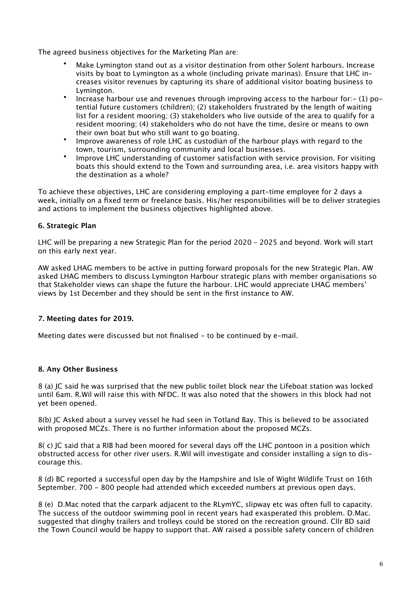The agreed business objectives for the Marketing Plan are:

- Make Lymington stand out as a visitor destination from other Solent harbours. Increase visits by boat to Lymington as a whole (including private marinas). Ensure that LHC increases visitor revenues by capturing its share of additional visitor boating business to Lymington.
- Increase harbour use and revenues through improving access to the harbour for: $-$  (1) potential future customers (children); (2) stakeholders frustrated by the length of waiting list for a resident mooring; (3) stakeholders who live outside of the area to qualify for a resident mooring; (4) stakeholders who do not have the time, desire or means to own their own boat but who still want to go boating.
- Improve awareness of role LHC as custodian of the harbour plays with regard to the town, tourism, surrounding community and local businesses.
- Improve LHC understanding of customer satisfaction with service provision. For visiting boats this should extend to the Town and surrounding area, i.e. area visitors happy with the destination as a whole?

To achieve these objectives, LHC are considering employing a part-time employee for 2 days a week, initially on a fixed term or freelance basis. His/her responsibilities will be to deliver strategies and actions to implement the business objectives highlighted above.

# **6. Strategic Plan**

LHC will be preparing a new Strategic Plan for the period 2020 – 2025 and beyond. Work will start on this early next year.

AW asked LHAG members to be active in putting forward proposals for the new Strategic Plan. AW asked LHAG members to discuss Lymington Harbour strategic plans with member organisations so that Stakeholder views can shape the future the harbour. LHC would appreciate LHAG members' views by 1st December and they should be sent in the first instance to AW.

# **7. Meeting dates for 2019.**

Meeting dates were discussed but not finalised - to be continued by e-mail.

#### **8. Any Other Business**

8 (a) JC said he was surprised that the new public toilet block near the Lifeboat station was locked until 6am. R.Wil will raise this with NFDC. It was also noted that the showers in this block had not yet been opened.

8(b) JC Asked about a survey vessel he had seen in Totland Bay. This is believed to be associated with proposed MCZs. There is no further information about the proposed MCZs.

8( c) IC said that a RIB had been moored for several days off the LHC pontoon in a position which obstructed access for other river users. R.Wil will investigate and consider installing a sign to discourage this.

8 (d) BC reported a successful open day by the Hampshire and Isle of Wight Wildlife Trust on 16th September. 700 - 800 people had attended which exceeded numbers at previous open days.

8 (e) D.Mac noted that the carpark adjacent to the RLymYC, slipway etc was often full to capacity. The success of the outdoor swimming pool in recent years had exasperated this problem. D.Mac. suggested that dinghy trailers and trolleys could be stored on the recreation ground. Cllr BD said the Town Council would be happy to support that. AW raised a possible safety concern of children